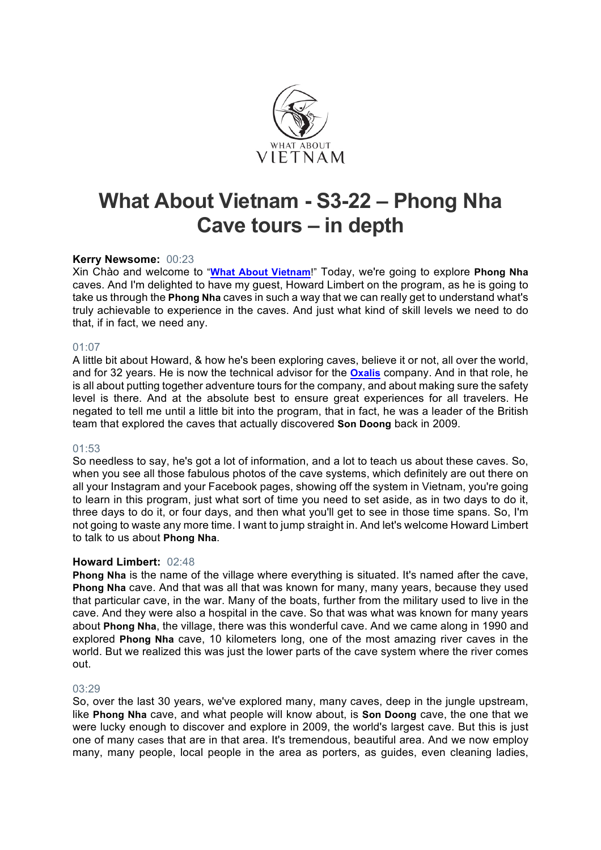

# **What About Vietnam - S3-22 – Phong Nha Cave tours – in depth**

# **Kerry Newsome:** 00:23

Xin Chào and welcome to "**What About Vietnam**!" Today, we're going to explore **Phong Nha** caves. And I'm delighted to have my guest, Howard Limbert on the program, as he is going to take us through the **Phong Nha** caves in such a way that we can really get to understand what's truly achievable to experience in the caves. And just what kind of skill levels we need to do that, if in fact, we need any.

# 01:07

A little bit about Howard, & how he's been exploring caves, believe it or not, all over the world, and for 32 years. He is now the technical advisor for the **Oxalis** company. And in that role, he is all about putting together adventure tours for the company, and about making sure the safety level is there. And at the absolute best to ensure great experiences for all travelers. He negated to tell me until a little bit into the program, that in fact, he was a leader of the British team that explored the caves that actually discovered **Son Doong** back in 2009.

# 01:53

So needless to say, he's got a lot of information, and a lot to teach us about these caves. So, when you see all those fabulous photos of the cave systems, which definitely are out there on all your Instagram and your Facebook pages, showing off the system in Vietnam, you're going to learn in this program, just what sort of time you need to set aside, as in two days to do it, three days to do it, or four days, and then what you'll get to see in those time spans. So, I'm not going to waste any more time. I want to jump straight in. And let's welcome Howard Limbert to talk to us about **Phong Nha**.

# **Howard Limbert:** 02:48

**Phong Nha** is the name of the village where everything is situated. It's named after the cave, **Phong Nha** cave. And that was all that was known for many, many years, because they used that particular cave, in the war. Many of the boats, further from the military used to live in the cave. And they were also a hospital in the cave. So that was what was known for many years about **Phong Nha**, the village, there was this wonderful cave. And we came along in 1990 and explored **Phong Nha** cave, 10 kilometers long, one of the most amazing river caves in the world. But we realized this was just the lower parts of the cave system where the river comes out.

# 03:29

So, over the last 30 years, we've explored many, many caves, deep in the jungle upstream, like **Phong Nha** cave, and what people will know about, is **Son Doong** cave, the one that we were lucky enough to discover and explore in 2009, the world's largest cave. But this is just one of many cases that are in that area. It's tremendous, beautiful area. And we now employ many, many people, local people in the area as porters, as guides, even cleaning ladies,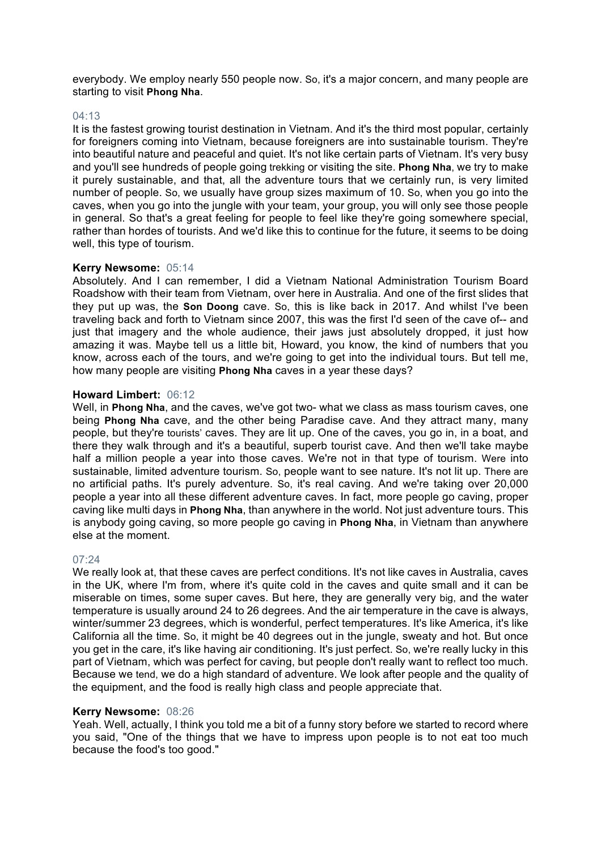everybody. We employ nearly 550 people now. So, it's a major concern, and many people are starting to visit **Phong Nha**.

## 04:13

It is the fastest growing tourist destination in Vietnam. And it's the third most popular, certainly for foreigners coming into Vietnam, because foreigners are into sustainable tourism. They're into beautiful nature and peaceful and quiet. It's not like certain parts of Vietnam. It's very busy and you'll see hundreds of people going trekking or visiting the site. **Phong Nha**, we try to make it purely sustainable, and that, all the adventure tours that we certainly run, is very limited number of people. So, we usually have group sizes maximum of 10. So, when you go into the caves, when you go into the jungle with your team, your group, you will only see those people in general. So that's a great feeling for people to feel like they're going somewhere special, rather than hordes of tourists. And we'd like this to continue for the future, it seems to be doing well, this type of tourism.

#### **Kerry Newsome:** 05:14

Absolutely. And I can remember, I did a Vietnam National Administration Tourism Board Roadshow with their team from Vietnam, over here in Australia. And one of the first slides that they put up was, the **Son Doong** cave. So, this is like back in 2017. And whilst I've been traveling back and forth to Vietnam since 2007, this was the first I'd seen of the cave of-- and just that imagery and the whole audience, their jaws just absolutely dropped, it just how amazing it was. Maybe tell us a little bit, Howard, you know, the kind of numbers that you know, across each of the tours, and we're going to get into the individual tours. But tell me, how many people are visiting **Phong Nha** caves in a year these days?

#### **Howard Limbert:** 06:12

Well, in **Phong Nha**, and the caves, we've got two- what we class as mass tourism caves, one being **Phong Nha** cave, and the other being Paradise cave. And they attract many, many people, but they're tourists' caves. They are lit up. One of the caves, you go in, in a boat, and there they walk through and it's a beautiful, superb tourist cave. And then we'll take maybe half a million people a year into those caves. We're not in that type of tourism. Were into sustainable, limited adventure tourism. So, people want to see nature. It's not lit up. There are no artificial paths. It's purely adventure. So, it's real caving. And we're taking over 20,000 people a year into all these different adventure caves. In fact, more people go caving, proper caving like multi days in **Phong Nha**, than anywhere in the world. Not just adventure tours. This is anybody going caving, so more people go caving in **Phong Nha**, in Vietnam than anywhere else at the moment.

#### 07:24

We really look at, that these caves are perfect conditions. It's not like caves in Australia, caves in the UK, where I'm from, where it's quite cold in the caves and quite small and it can be miserable on times, some super caves. But here, they are generally very big, and the water temperature is usually around 24 to 26 degrees. And the air temperature in the cave is always, winter/summer 23 degrees, which is wonderful, perfect temperatures. It's like America, it's like California all the time. So, it might be 40 degrees out in the jungle, sweaty and hot. But once you get in the care, it's like having air conditioning. It's just perfect. So, we're really lucky in this part of Vietnam, which was perfect for caving, but people don't really want to reflect too much. Because we tend, we do a high standard of adventure. We look after people and the quality of the equipment, and the food is really high class and people appreciate that.

#### **Kerry Newsome:** 08:26

Yeah. Well, actually, I think you told me a bit of a funny story before we started to record where you said, "One of the things that we have to impress upon people is to not eat too much because the food's too good."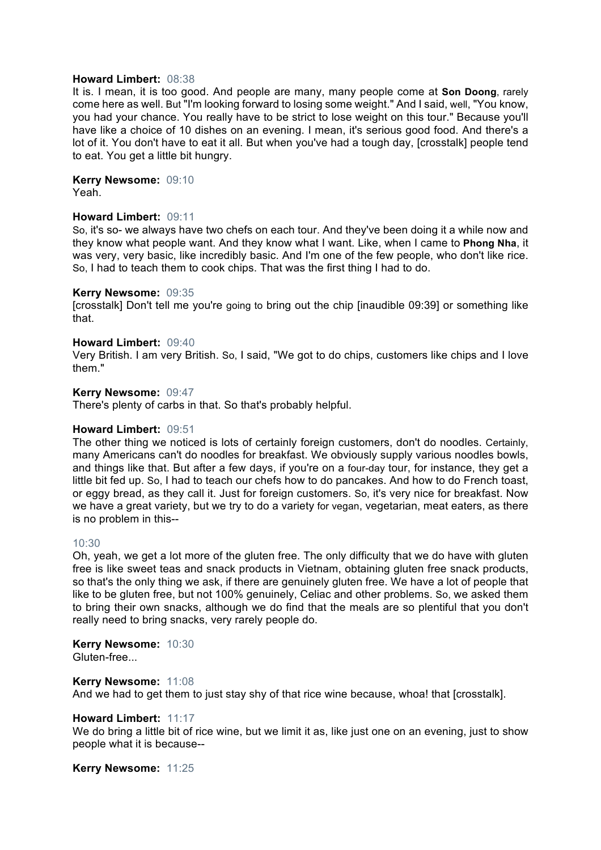#### **Howard Limbert:** 08:38

It is. I mean, it is too good. And people are many, many people come at **Son Doong**, rarely come here as well. But "I'm looking forward to losing some weight." And I said, well, "You know, you had your chance. You really have to be strict to lose weight on this tour." Because you'll have like a choice of 10 dishes on an evening. I mean, it's serious good food. And there's a lot of it. You don't have to eat it all. But when you've had a tough day, [crosstalk] people tend to eat. You get a little bit hungry.

**Kerry Newsome:** 09:10

Yeah.

# **Howard Limbert:** 09:11

So, it's so- we always have two chefs on each tour. And they've been doing it a while now and they know what people want. And they know what I want. Like, when I came to **Phong Nha**, it was very, very basic, like incredibly basic. And I'm one of the few people, who don't like rice. So, I had to teach them to cook chips. That was the first thing I had to do.

#### **Kerry Newsome:** 09:35

[crosstalk] Don't tell me you're going to bring out the chip [inaudible 09:39] or something like that.

# **Howard Limbert:** 09:40

Very British. I am very British. So, I said, "We got to do chips, customers like chips and I love them."

#### **Kerry Newsome:** 09:47

There's plenty of carbs in that. So that's probably helpful.

#### **Howard Limbert:** 09:51

The other thing we noticed is lots of certainly foreign customers, don't do noodles. Certainly, many Americans can't do noodles for breakfast. We obviously supply various noodles bowls, and things like that. But after a few days, if you're on a four-day tour, for instance, they get a little bit fed up. So, I had to teach our chefs how to do pancakes. And how to do French toast, or eggy bread, as they call it. Just for foreign customers. So, it's very nice for breakfast. Now we have a great variety, but we try to do a variety for vegan, vegetarian, meat eaters, as there is no problem in this--

#### 10:30

Oh, yeah, we get a lot more of the gluten free. The only difficulty that we do have with gluten free is like sweet teas and snack products in Vietnam, obtaining gluten free snack products, so that's the only thing we ask, if there are genuinely gluten free. We have a lot of people that like to be gluten free, but not 100% genuinely, Celiac and other problems. So, we asked them to bring their own snacks, although we do find that the meals are so plentiful that you don't really need to bring snacks, very rarely people do.

**Kerry Newsome:** 10:30 Gluten-free...

**Kerry Newsome:** 11:08 And we had to get them to just stay shy of that rice wine because, whoa! that [crosstalk].

#### **Howard Limbert:** 11:17

We do bring a little bit of rice wine, but we limit it as, like just one on an evening, just to show people what it is because--

**Kerry Newsome:** 11:25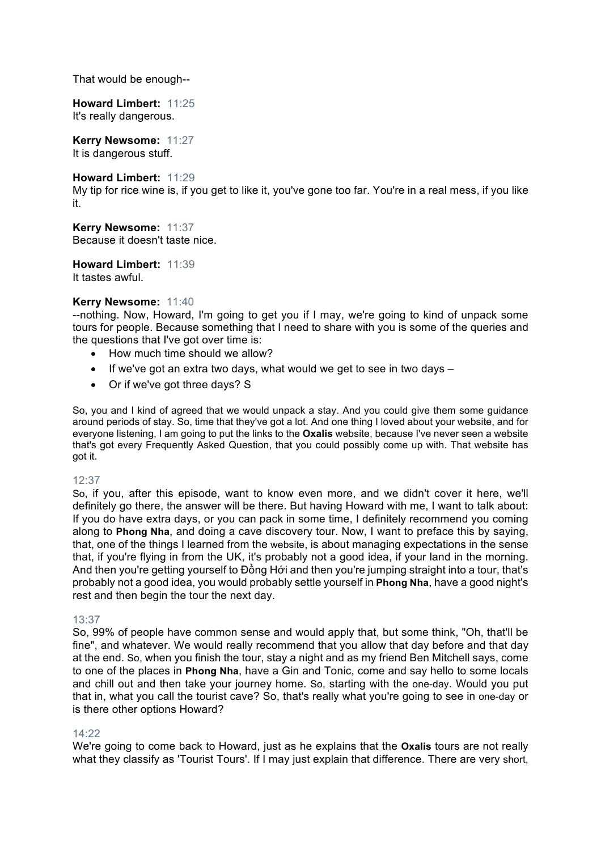That would be enough--

**Howard Limbert:** 11:25 It's really dangerous.

**Kerry Newsome:** 11:27 It is dangerous stuff.

**Howard Limbert:** 11:29 My tip for rice wine is, if you get to like it, you've gone too far. You're in a real mess, if you like it.

**Kerry Newsome:** 11:37 Because it doesn't taste nice.

**Howard Limbert:** 11:39 It tastes awful.

# **Kerry Newsome:** 11:40

--nothing. Now, Howard, I'm going to get you if I may, we're going to kind of unpack some tours for people. Because something that I need to share with you is some of the queries and the questions that I've got over time is:

- How much time should we allow?
- If we've got an extra two days, what would we get to see in two days –
- Or if we've got three days? S

So, you and I kind of agreed that we would unpack a stay. And you could give them some guidance around periods of stay. So, time that they've got a lot. And one thing I loved about your website, and for everyone listening, I am going to put the links to the **Oxalis** website, because I've never seen a website that's got every Frequently Asked Question, that you could possibly come up with. That website has got it.

# 12:37

So, if you, after this episode, want to know even more, and we didn't cover it here, we'll definitely go there, the answer will be there. But having Howard with me, I want to talk about: If you do have extra days, or you can pack in some time, I definitely recommend you coming along to **Phong Nha**, and doing a cave discovery tour. Now, I want to preface this by saying, that, one of the things I learned from the website, is about managing expectations in the sense that, if you're flying in from the UK, it's probably not a good idea, if your land in the morning. And then you're getting yourself to Đồng Hới and then you're jumping straight into a tour, that's probably not a good idea, you would probably settle yourself in **Phong Nha**, have a good night's rest and then begin the tour the next day.

# 13:37

So, 99% of people have common sense and would apply that, but some think, "Oh, that'll be fine", and whatever. We would really recommend that you allow that day before and that day at the end. So, when you finish the tour, stay a night and as my friend Ben Mitchell says, come to one of the places in **Phong Nha**, have a Gin and Tonic, come and say hello to some locals and chill out and then take your journey home. So, starting with the one-day. Would you put that in, what you call the tourist cave? So, that's really what you're going to see in one-day or is there other options Howard?

# 14:22

We're going to come back to Howard, just as he explains that the **Oxalis** tours are not really what they classify as 'Tourist Tours'. If I may just explain that difference. There are very short,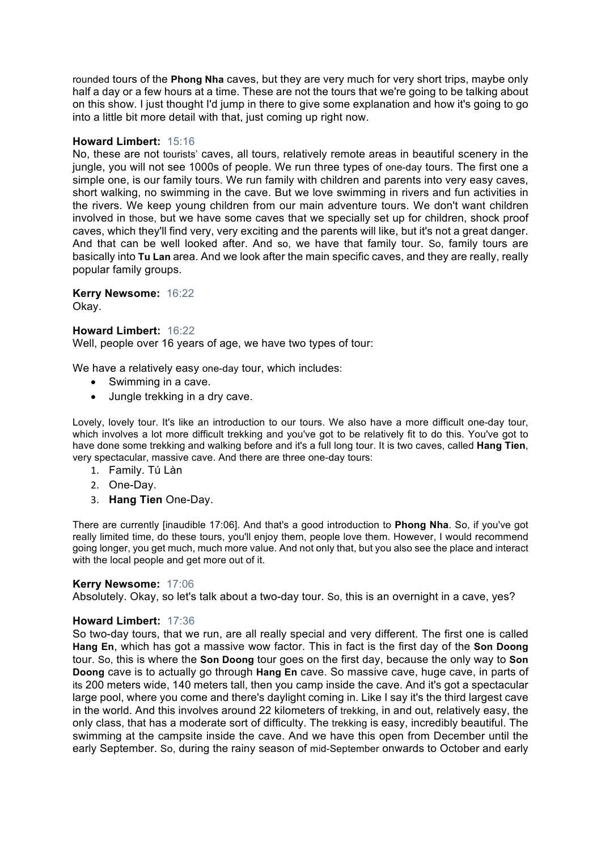rounded tours of the **Phong Nha** caves, but they are very much for very short trips, maybe only half a day or a few hours at a time. These are not the tours that we're going to be talking about on this show. I just thought I'd jump in there to give some explanation and how it's going to go into a little bit more detail with that, just coming up right now.

# **Howard Limbert:** 15:16

No, these are not tourists' caves, all tours, relatively remote areas in beautiful scenery in the jungle, you will not see 1000s of people. We run three types of one-day tours. The first one a simple one, is our family tours. We run family with children and parents into very easy caves, short walking, no swimming in the cave. But we love swimming in rivers and fun activities in the rivers. We keep young children from our main adventure tours. We don't want children involved in those, but we have some caves that we specially set up for children, shock proof caves, which they'll find very, very exciting and the parents will like, but it's not a great danger. And that can be well looked after. And so, we have that family tour. So, family tours are basically into **Tu Lan** area. And we look after the main specific caves, and they are really, really popular family groups.

# **Kerry Newsome:** 16:22

Okay.

# **Howard Limbert:** 16:22

Well, people over 16 years of age, we have two types of tour:

We have a relatively easy one-day tour, which includes:

- Swimming in a cave.
- Jungle trekking in a dry cave.

Lovely, lovely tour. It's like an introduction to our tours. We also have a more difficult one-day tour, which involves a lot more difficult trekking and you've got to be relatively fit to do this. You've got to have done some trekking and walking before and it's a full long tour. It is two caves, called **Hang Tien**, very spectacular, massive cave. And there are three one-day tours:

- 1. Family. Tú Làn
- 2. One-Day.
- 3. **Hang Tien** One-Day.

There are currently [inaudible 17:06]. And that's a good introduction to **Phong Nha**. So, if you've got really limited time, do these tours, you'll enjoy them, people love them. However, I would recommend going longer, you get much, much more value. And not only that, but you also see the place and interact with the local people and get more out of it.

# **Kerry Newsome:** 17:06

Absolutely. Okay, so let's talk about a two-day tour. So, this is an overnight in a cave, yes?

# **Howard Limbert:** 17:36

So two-day tours, that we run, are all really special and very different. The first one is called **Hang En**, which has got a massive wow factor. This in fact is the first day of the **Son Doong** tour. So, this is where the **Son Doong** tour goes on the first day, because the only way to **Son Doong** cave is to actually go through **Hang En** cave. So massive cave, huge cave, in parts of its 200 meters wide, 140 meters tall, then you camp inside the cave. And it's got a spectacular large pool, where you come and there's daylight coming in. Like I say it's the third largest cave in the world. And this involves around 22 kilometers of trekking, in and out, relatively easy, the only class, that has a moderate sort of difficulty. The trekking is easy, incredibly beautiful. The swimming at the campsite inside the cave. And we have this open from December until the early September. So, during the rainy season of mid-September onwards to October and early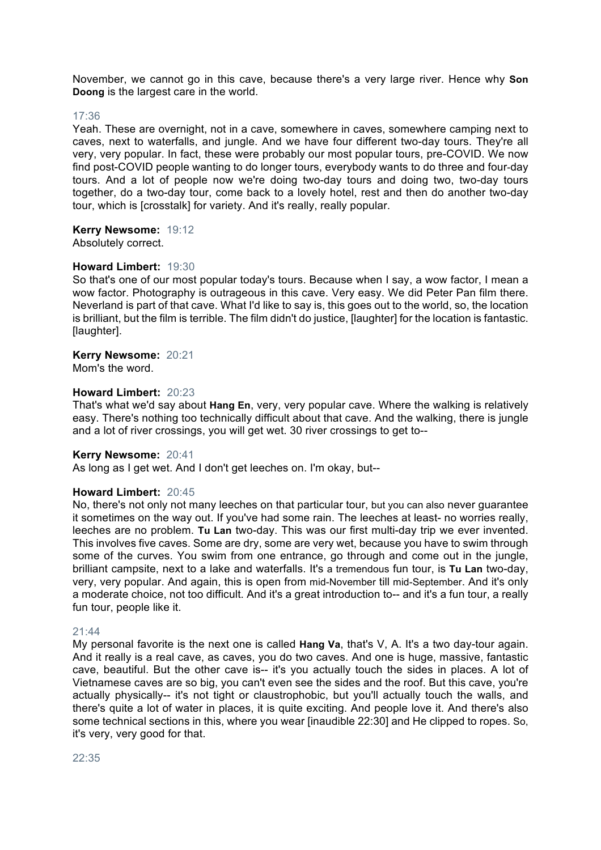November, we cannot go in this cave, because there's a very large river. Hence why **Son Doong** is the largest care in the world.

#### 17:36

Yeah. These are overnight, not in a cave, somewhere in caves, somewhere camping next to caves, next to waterfalls, and jungle. And we have four different two-day tours. They're all very, very popular. In fact, these were probably our most popular tours, pre-COVID. We now find post-COVID people wanting to do longer tours, everybody wants to do three and four-day tours. And a lot of people now we're doing two-day tours and doing two, two-day tours together, do a two-day tour, come back to a lovely hotel, rest and then do another two-day tour, which is [crosstalk] for variety. And it's really, really popular.

**Kerry Newsome:** 19:12 Absolutely correct.

#### **Howard Limbert:** 19:30

So that's one of our most popular today's tours. Because when I say, a wow factor, I mean a wow factor. Photography is outrageous in this cave. Very easy. We did Peter Pan film there. Neverland is part of that cave. What I'd like to say is, this goes out to the world, so, the location is brilliant, but the film is terrible. The film didn't do justice, [laughter] for the location is fantastic. [laughter].

# **Kerry Newsome:** 20:21

Mom's the word.

#### **Howard Limbert:** 20:23

That's what we'd say about **Hang En**, very, very popular cave. Where the walking is relatively easy. There's nothing too technically difficult about that cave. And the walking, there is jungle and a lot of river crossings, you will get wet. 30 river crossings to get to--

#### **Kerry Newsome:** 20:41

As long as I get wet. And I don't get leeches on. I'm okay, but--

#### **Howard Limbert:** 20:45

No, there's not only not many leeches on that particular tour, but you can also never guarantee it sometimes on the way out. If you've had some rain. The leeches at least- no worries really, leeches are no problem. **Tu Lan** two-day. This was our first multi-day trip we ever invented. This involves five caves. Some are dry, some are very wet, because you have to swim through some of the curves. You swim from one entrance, go through and come out in the jungle, brilliant campsite, next to a lake and waterfalls. It's a tremendous fun tour, is **Tu Lan** two-day, very, very popular. And again, this is open from mid-November till mid-September. And it's only a moderate choice, not too difficult. And it's a great introduction to-- and it's a fun tour, a really fun tour, people like it.

#### 21:44

My personal favorite is the next one is called **Hang Va**, that's V, A. It's a two day-tour again. And it really is a real cave, as caves, you do two caves. And one is huge, massive, fantastic cave, beautiful. But the other cave is-- it's you actually touch the sides in places. A lot of Vietnamese caves are so big, you can't even see the sides and the roof. But this cave, you're actually physically-- it's not tight or claustrophobic, but you'll actually touch the walls, and there's quite a lot of water in places, it is quite exciting. And people love it. And there's also some technical sections in this, where you wear [inaudible 22:30] and He clipped to ropes. So, it's very, very good for that.

22:35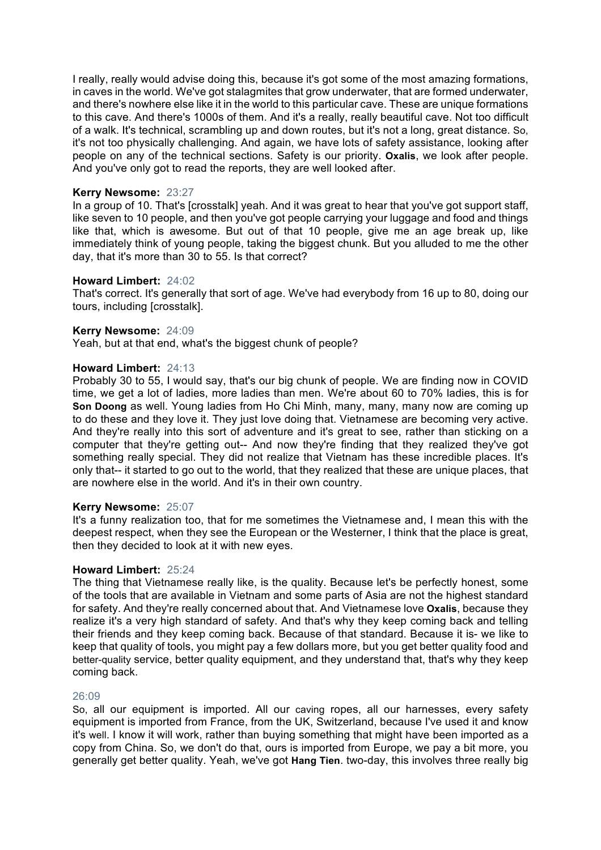I really, really would advise doing this, because it's got some of the most amazing formations, in caves in the world. We've got stalagmites that grow underwater, that are formed underwater, and there's nowhere else like it in the world to this particular cave. These are unique formations to this cave. And there's 1000s of them. And it's a really, really beautiful cave. Not too difficult of a walk. It's technical, scrambling up and down routes, but it's not a long, great distance. So, it's not too physically challenging. And again, we have lots of safety assistance, looking after people on any of the technical sections. Safety is our priority. **Oxalis**, we look after people. And you've only got to read the reports, they are well looked after.

# **Kerry Newsome:** 23:27

In a group of 10. That's [crosstalk] yeah. And it was great to hear that you've got support staff, like seven to 10 people, and then you've got people carrying your luggage and food and things like that, which is awesome. But out of that 10 people, give me an age break up, like immediately think of young people, taking the biggest chunk. But you alluded to me the other day, that it's more than 30 to 55. Is that correct?

#### **Howard Limbert:** 24:02

That's correct. It's generally that sort of age. We've had everybody from 16 up to 80, doing our tours, including [crosstalk].

#### **Kerry Newsome:** 24:09

Yeah, but at that end, what's the biggest chunk of people?

#### **Howard Limbert:** 24:13

Probably 30 to 55, I would say, that's our big chunk of people. We are finding now in COVID time, we get a lot of ladies, more ladies than men. We're about 60 to 70% ladies, this is for **Son Doong** as well. Young ladies from Ho Chi Minh, many, many, many now are coming up to do these and they love it. They just love doing that. Vietnamese are becoming very active. And they're really into this sort of adventure and it's great to see, rather than sticking on a computer that they're getting out-- And now they're finding that they realized they've got something really special. They did not realize that Vietnam has these incredible places. It's only that-- it started to go out to the world, that they realized that these are unique places, that are nowhere else in the world. And it's in their own country.

#### **Kerry Newsome:** 25:07

It's a funny realization too, that for me sometimes the Vietnamese and, I mean this with the deepest respect, when they see the European or the Westerner, I think that the place is great, then they decided to look at it with new eyes.

#### **Howard Limbert:** 25:24

The thing that Vietnamese really like, is the quality. Because let's be perfectly honest, some of the tools that are available in Vietnam and some parts of Asia are not the highest standard for safety. And they're really concerned about that. And Vietnamese love **Oxalis**, because they realize it's a very high standard of safety. And that's why they keep coming back and telling their friends and they keep coming back. Because of that standard. Because it is- we like to keep that quality of tools, you might pay a few dollars more, but you get better quality food and better-quality service, better quality equipment, and they understand that, that's why they keep coming back.

#### 26:09

So, all our equipment is imported. All our caving ropes, all our harnesses, every safety equipment is imported from France, from the UK, Switzerland, because I've used it and know it's well. I know it will work, rather than buying something that might have been imported as a copy from China. So, we don't do that, ours is imported from Europe, we pay a bit more, you generally get better quality. Yeah, we've got **Hang Tien**. two-day, this involves three really big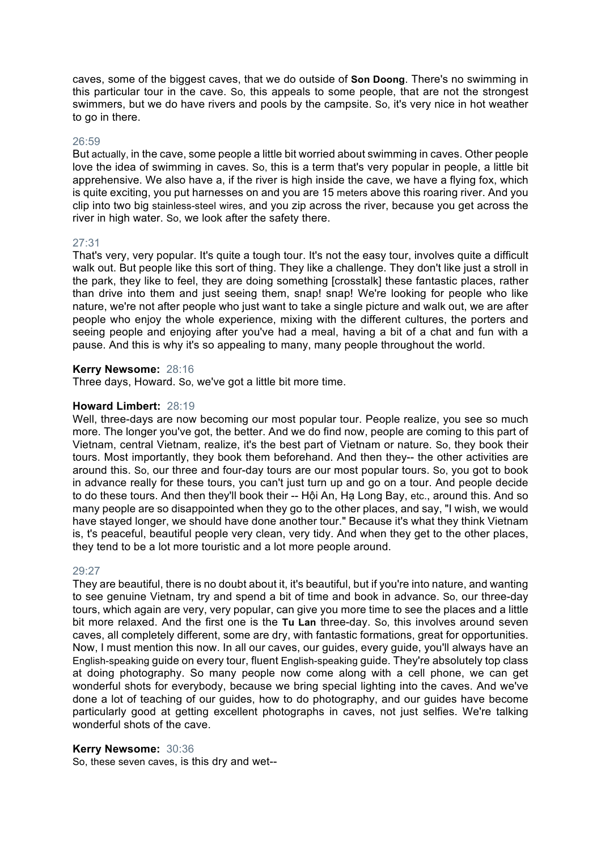caves, some of the biggest caves, that we do outside of **Son Doong**. There's no swimming in this particular tour in the cave. So, this appeals to some people, that are not the strongest swimmers, but we do have rivers and pools by the campsite. So, it's very nice in hot weather to go in there.

#### 26:59

But actually, in the cave, some people a little bit worried about swimming in caves. Other people love the idea of swimming in caves. So, this is a term that's very popular in people, a little bit apprehensive. We also have a, if the river is high inside the cave, we have a flying fox, which is quite exciting, you put harnesses on and you are 15 meters above this roaring river. And you clip into two big stainless-steel wires, and you zip across the river, because you get across the river in high water. So, we look after the safety there.

#### 27:31

That's very, very popular. It's quite a tough tour. It's not the easy tour, involves quite a difficult walk out. But people like this sort of thing. They like a challenge. They don't like just a stroll in the park, they like to feel, they are doing something [crosstalk] these fantastic places, rather than drive into them and just seeing them, snap! snap! We're looking for people who like nature, we're not after people who just want to take a single picture and walk out, we are after people who enjoy the whole experience, mixing with the different cultures, the porters and seeing people and enjoying after you've had a meal, having a bit of a chat and fun with a pause. And this is why it's so appealing to many, many people throughout the world.

#### **Kerry Newsome:** 28:16

Three days, Howard. So, we've got a little bit more time.

#### **Howard Limbert:** 28:19

Well, three-days are now becoming our most popular tour. People realize, you see so much more. The longer you've got, the better. And we do find now, people are coming to this part of Vietnam, central Vietnam, realize, it's the best part of Vietnam or nature. So, they book their tours. Most importantly, they book them beforehand. And then they-- the other activities are around this. So, our three and four-day tours are our most popular tours. So, you got to book in advance really for these tours, you can't just turn up and go on a tour. And people decide to do these tours. And then they'll book their -- Hội An, Hạ Long Bay, etc., around this. And so many people are so disappointed when they go to the other places, and say, "I wish, we would have stayed longer, we should have done another tour." Because it's what they think Vietnam is, t's peaceful, beautiful people very clean, very tidy. And when they get to the other places, they tend to be a lot more touristic and a lot more people around.

#### 29:27

They are beautiful, there is no doubt about it, it's beautiful, but if you're into nature, and wanting to see genuine Vietnam, try and spend a bit of time and book in advance. So, our three-day tours, which again are very, very popular, can give you more time to see the places and a little bit more relaxed. And the first one is the **Tu Lan** three-day. So, this involves around seven caves, all completely different, some are dry, with fantastic formations, great for opportunities. Now, I must mention this now. In all our caves, our guides, every guide, you'll always have an English-speaking guide on every tour, fluent English-speaking guide. They're absolutely top class at doing photography. So many people now come along with a cell phone, we can get wonderful shots for everybody, because we bring special lighting into the caves. And we've done a lot of teaching of our guides, how to do photography, and our guides have become particularly good at getting excellent photographs in caves, not just selfies. We're talking wonderful shots of the cave.

# **Kerry Newsome:** 30:36

So, these seven caves, is this dry and wet--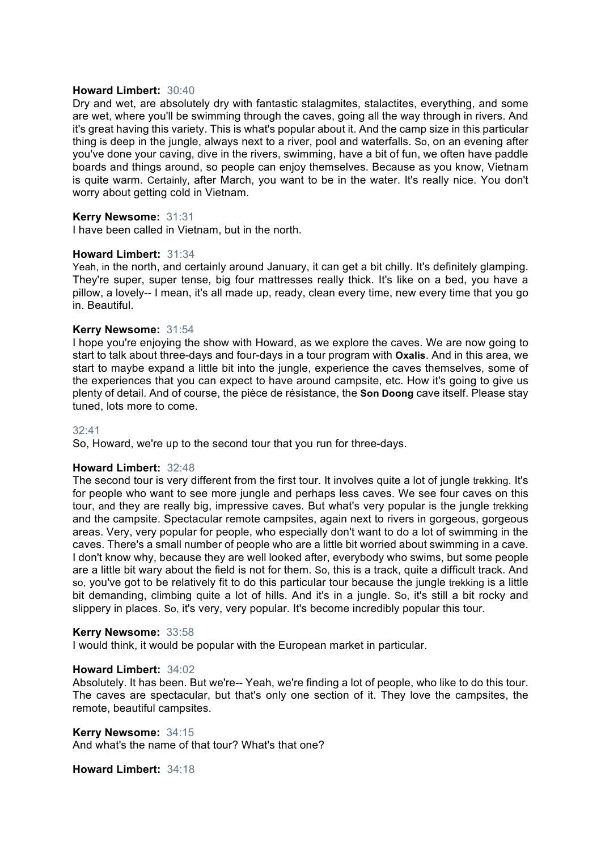#### **Howard Limbert:** 30:40

Dry and wet, are absolutely dry with fantastic stalagmites, stalactites, everything, and some are wet, where you'll be swimming through the caves, going all the way through in rivers. And it's great having this variety. This is what's popular about it. And the camp size in this particular thing is deep in the jungle, always next to a river, pool and waterfalls. So, on an evening after you've done your caving, dive in the rivers, swimming, have a bit of fun, we often have paddle boards and things around, so people can enjoy themselves. Because as you know, Vietnam is quite warm. Certainly, after March, you want to be in the water. It's really nice. You don't worry about getting cold in Vietnam.

# **Kerry Newsome:** 31:31

I have been called in Vietnam, but in the north.

#### **Howard Limbert:** 31:34

Yeah, in the north, and certainly around January, it can get a bit chilly. It's definitely glamping. They're super, super tense, big four mattresses really thick. It's like on a bed, you have a pillow, a lovely-- I mean, it's all made up, ready, clean every time, new every time that you go in. Beautiful.

#### **Kerry Newsome:** 31:54

I hope you're enjoying the show with Howard, as we explore the caves. We are now going to start to talk about three-days and four-days in a tour program with **Oxalis**. And in this area, we start to maybe expand a little bit into the jungle, experience the caves themselves, some of the experiences that you can expect to have around campsite, etc. How it's going to give us plenty of detail. And of course, the pièce de résistance, the **Son Doong** cave itself. Please stay tuned, lots more to come.

#### 32:41

So, Howard, we're up to the second tour that you run for three-days.

#### **Howard Limbert:** 32:48

The second tour is very different from the first tour. It involves quite a lot of jungle trekking. It's for people who want to see more jungle and perhaps less caves. We see four caves on this tour, and they are really big, impressive caves. But what's very popular is the jungle trekking and the campsite. Spectacular remote campsites, again next to rivers in gorgeous, gorgeous areas. Very, very popular for people, who especially don't want to do a lot of swimming in the caves. There's a small number of people who are a little bit worried about swimming in a cave. I don't know why, because they are well looked after, everybody who swims, but some people are a little bit wary about the field is not for them. So, this is a track, quite a difficult track. And so, you've got to be relatively fit to do this particular tour because the jungle trekking is a little bit demanding, climbing quite a lot of hills. And it's in a jungle. So, it's still a bit rocky and slippery in places. So, it's very, very popular. It's become incredibly popular this tour.

#### **Kerry Newsome:** 33:58

I would think, it would be popular with the European market in particular.

#### **Howard Limbert:** 34:02

Absolutely. It has been. But we're-- Yeah, we're finding a lot of people, who like to do this tour. The caves are spectacular, but that's only one section of it. They love the campsites, the remote, beautiful campsites.

# **Kerry Newsome:** 34:15

And what's the name of that tour? What's that one?

**Howard Limbert:** 34:18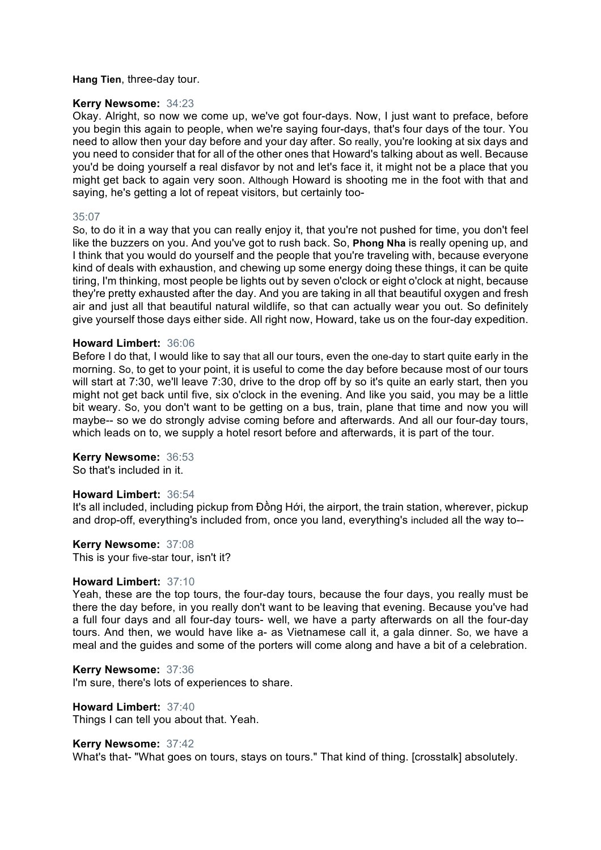#### **Hang Tien**, three-day tour.

#### **Kerry Newsome:** 34:23

Okay. Alright, so now we come up, we've got four-days. Now, I just want to preface, before you begin this again to people, when we're saying four-days, that's four days of the tour. You need to allow then your day before and your day after. So really, you're looking at six days and you need to consider that for all of the other ones that Howard's talking about as well. Because you'd be doing yourself a real disfavor by not and let's face it, it might not be a place that you might get back to again very soon. Although Howard is shooting me in the foot with that and saying, he's getting a lot of repeat visitors, but certainly too-

#### 35:07

So, to do it in a way that you can really enjoy it, that you're not pushed for time, you don't feel like the buzzers on you. And you've got to rush back. So, **Phong Nha** is really opening up, and I think that you would do yourself and the people that you're traveling with, because everyone kind of deals with exhaustion, and chewing up some energy doing these things, it can be quite tiring, I'm thinking, most people be lights out by seven o'clock or eight o'clock at night, because they're pretty exhausted after the day. And you are taking in all that beautiful oxygen and fresh air and just all that beautiful natural wildlife, so that can actually wear you out. So definitely give yourself those days either side. All right now, Howard, take us on the four-day expedition.

#### **Howard Limbert:** 36:06

Before I do that, I would like to say that all our tours, even the one-day to start quite early in the morning. So, to get to your point, it is useful to come the day before because most of our tours will start at 7:30, we'll leave 7:30, drive to the drop off by so it's quite an early start, then you might not get back until five, six o'clock in the evening. And like you said, you may be a little bit weary. So, you don't want to be getting on a bus, train, plane that time and now you will maybe-- so we do strongly advise coming before and afterwards. And all our four-day tours, which leads on to, we supply a hotel resort before and afterwards, it is part of the tour.

#### **Kerry Newsome:** 36:53

So that's included in it.

#### **Howard Limbert:** 36:54

It's all included, including pickup from Đồng Hới, the airport, the train station, wherever, pickup and drop-off, everything's included from, once you land, everything's included all the way to--

**Kerry Newsome:** 37:08 This is your five-star tour, isn't it?

# **Howard Limbert:** 37:10

Yeah, these are the top tours, the four-day tours, because the four days, you really must be there the day before, in you really don't want to be leaving that evening. Because you've had a full four days and all four-day tours- well, we have a party afterwards on all the four-day tours. And then, we would have like a- as Vietnamese call it, a gala dinner. So, we have a meal and the guides and some of the porters will come along and have a bit of a celebration.

#### **Kerry Newsome:** 37:36

I'm sure, there's lots of experiences to share.

# **Howard Limbert:** 37:40

Things I can tell you about that. Yeah.

#### **Kerry Newsome:** 37:42

What's that- "What goes on tours, stays on tours." That kind of thing. [crosstalk] absolutely.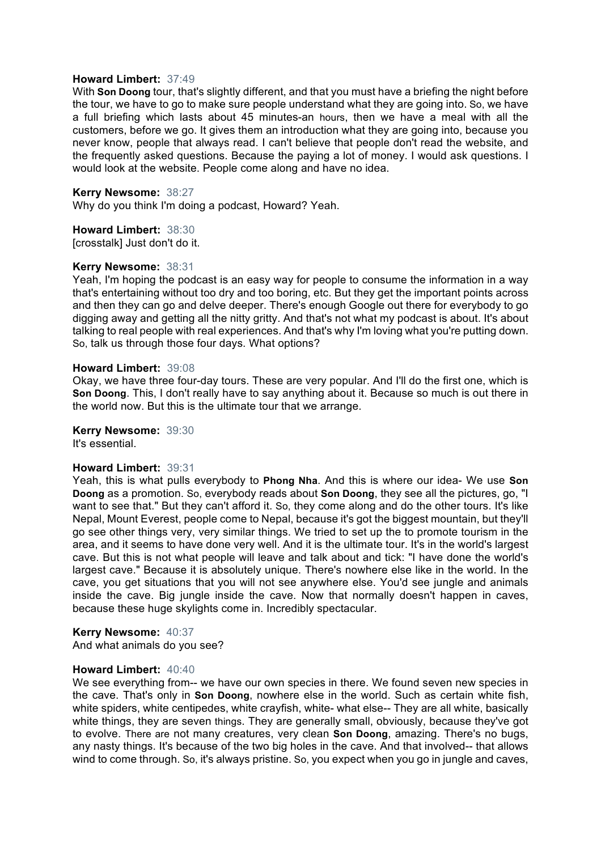#### **Howard Limbert:** 37:49

With **Son Doong** tour, that's slightly different, and that you must have a briefing the night before the tour, we have to go to make sure people understand what they are going into. So, we have a full briefing which lasts about 45 minutes-an hours, then we have a meal with all the customers, before we go. It gives them an introduction what they are going into, because you never know, people that always read. I can't believe that people don't read the website, and the frequently asked questions. Because the paying a lot of money. I would ask questions. I would look at the website. People come along and have no idea.

#### **Kerry Newsome:** 38:27

Why do you think I'm doing a podcast, Howard? Yeah.

# **Howard Limbert:** 38:30

[crosstalk] Just don't do it.

#### **Kerry Newsome:** 38:31

Yeah, I'm hoping the podcast is an easy way for people to consume the information in a way that's entertaining without too dry and too boring, etc. But they get the important points across and then they can go and delve deeper. There's enough Google out there for everybody to go digging away and getting all the nitty gritty. And that's not what my podcast is about. It's about talking to real people with real experiences. And that's why I'm loving what you're putting down. So, talk us through those four days. What options?

#### **Howard Limbert:** 39:08

Okay, we have three four-day tours. These are very popular. And I'll do the first one, which is **Son Doong**. This, I don't really have to say anything about it. Because so much is out there in the world now. But this is the ultimate tour that we arrange.

**Kerry Newsome:** 39:30 It's essential.

#### **Howard Limbert:** 39:31

Yeah, this is what pulls everybody to **Phong Nha**. And this is where our idea- We use **Son Doong** as a promotion. So, everybody reads about **Son Doong**, they see all the pictures, go, "I want to see that." But they can't afford it. So, they come along and do the other tours. It's like Nepal, Mount Everest, people come to Nepal, because it's got the biggest mountain, but they'll go see other things very, very similar things. We tried to set up the to promote tourism in the area, and it seems to have done very well. And it is the ultimate tour. It's in the world's largest cave. But this is not what people will leave and talk about and tick: "I have done the world's largest cave." Because it is absolutely unique. There's nowhere else like in the world. In the cave, you get situations that you will not see anywhere else. You'd see jungle and animals inside the cave. Big jungle inside the cave. Now that normally doesn't happen in caves, because these huge skylights come in. Incredibly spectacular.

#### **Kerry Newsome:** 40:37

And what animals do you see?

#### **Howard Limbert:** 40:40

We see everything from-- we have our own species in there. We found seven new species in the cave. That's only in **Son Doong**, nowhere else in the world. Such as certain white fish, white spiders, white centipedes, white crayfish, white- what else-- They are all white, basically white things, they are seven things. They are generally small, obviously, because they've got to evolve. There are not many creatures, very clean **Son Doong**, amazing. There's no bugs, any nasty things. It's because of the two big holes in the cave. And that involved-- that allows wind to come through. So, it's always pristine. So, you expect when you go in jungle and caves,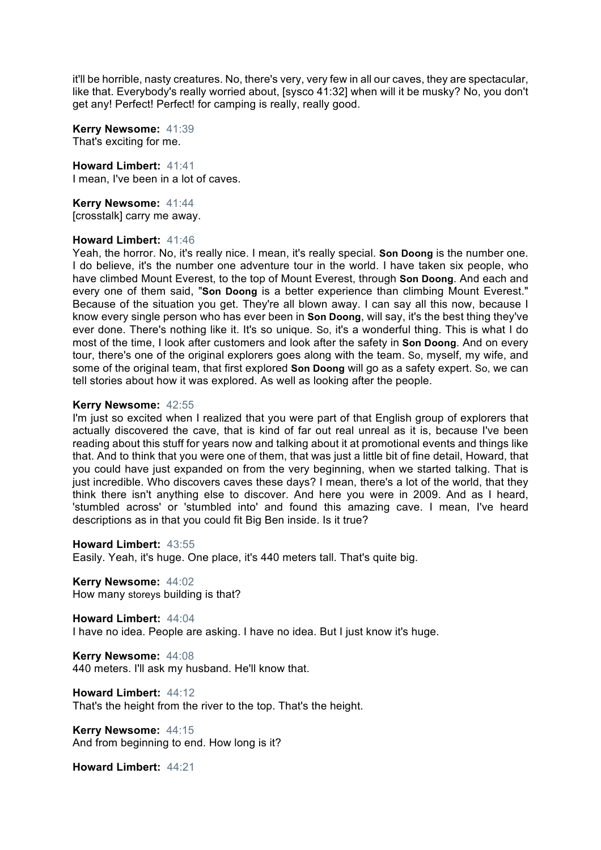it'll be horrible, nasty creatures. No, there's very, very few in all our caves, they are spectacular, like that. Everybody's really worried about, [sysco 41:32] when will it be musky? No, you don't get any! Perfect! Perfect! for camping is really, really good.

**Kerry Newsome:** 41:39 That's exciting for me.

**Howard Limbert:** 41:41 I mean, I've been in a lot of caves.

**Kerry Newsome:** 41:44 [crosstalk] carry me away.

#### **Howard Limbert:** 41:46

Yeah, the horror. No, it's really nice. I mean, it's really special. **Son Doong** is the number one. I do believe, it's the number one adventure tour in the world. I have taken six people, who have climbed Mount Everest, to the top of Mount Everest, through **Son Doong**. And each and every one of them said, "**Son Doong** is a better experience than climbing Mount Everest." Because of the situation you get. They're all blown away. I can say all this now, because I know every single person who has ever been in **Son Doong**, will say, it's the best thing they've ever done. There's nothing like it. It's so unique. So, it's a wonderful thing. This is what I do most of the time, I look after customers and look after the safety in **Son Doong**. And on every tour, there's one of the original explorers goes along with the team. So, myself, my wife, and some of the original team, that first explored **Son Doong** will go as a safety expert. So, we can tell stories about how it was explored. As well as looking after the people.

#### **Kerry Newsome:** 42:55

I'm just so excited when I realized that you were part of that English group of explorers that actually discovered the cave, that is kind of far out real unreal as it is, because I've been reading about this stuff for years now and talking about it at promotional events and things like that. And to think that you were one of them, that was just a little bit of fine detail, Howard, that you could have just expanded on from the very beginning, when we started talking. That is just incredible. Who discovers caves these days? I mean, there's a lot of the world, that they think there isn't anything else to discover. And here you were in 2009. And as I heard, 'stumbled across' or 'stumbled into' and found this amazing cave. I mean, I've heard descriptions as in that you could fit Big Ben inside. Is it true?

#### **Howard Limbert:** 43:55

Easily. Yeah, it's huge. One place, it's 440 meters tall. That's quite big.

**Kerry Newsome:** 44:02 How many storeys building is that?

**Howard Limbert:** 44:04 I have no idea. People are asking. I have no idea. But I just know it's huge.

**Kerry Newsome:** 44:08 440 meters. I'll ask my husband. He'll know that.

**Howard Limbert:** 44:12 That's the height from the river to the top. That's the height.

**Kerry Newsome:** 44:15 And from beginning to end. How long is it?

**Howard Limbert:** 44:21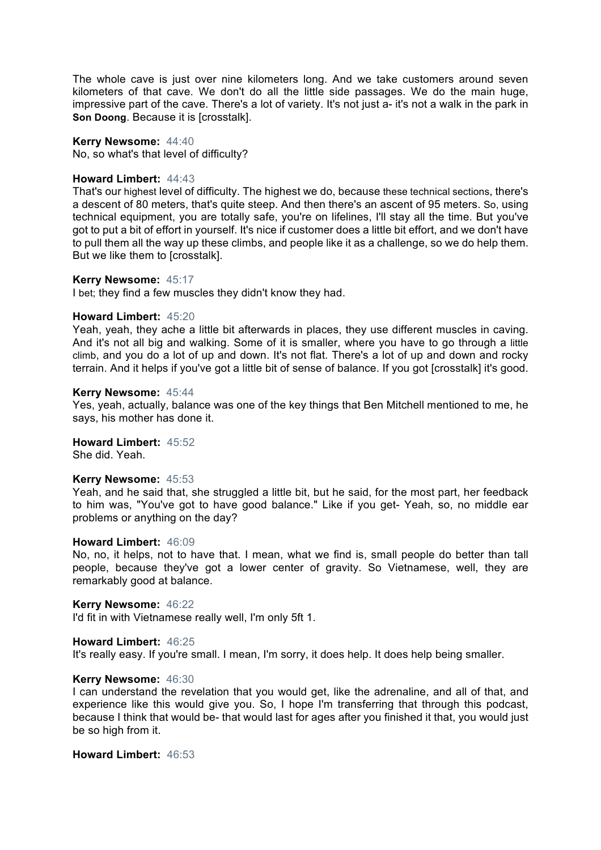The whole cave is just over nine kilometers long. And we take customers around seven kilometers of that cave. We don't do all the little side passages. We do the main huge, impressive part of the cave. There's a lot of variety. It's not just a- it's not a walk in the park in **Son Doong**. Because it is [crosstalk].

#### **Kerry Newsome:** 44:40

No, so what's that level of difficulty?

#### **Howard Limbert:** 44:43

That's our highest level of difficulty. The highest we do, because these technical sections, there's a descent of 80 meters, that's quite steep. And then there's an ascent of 95 meters. So, using technical equipment, you are totally safe, you're on lifelines, I'll stay all the time. But you've got to put a bit of effort in yourself. It's nice if customer does a little bit effort, and we don't have to pull them all the way up these climbs, and people like it as a challenge, so we do help them. But we like them to [crosstalk].

#### **Kerry Newsome:** 45:17

I bet; they find a few muscles they didn't know they had.

#### **Howard Limbert:** 45:20

Yeah, yeah, they ache a little bit afterwards in places, they use different muscles in caving. And it's not all big and walking. Some of it is smaller, where you have to go through a little climb, and you do a lot of up and down. It's not flat. There's a lot of up and down and rocky terrain. And it helps if you've got a little bit of sense of balance. If you got [crosstalk] it's good.

#### **Kerry Newsome:** 45:44

Yes, yeah, actually, balance was one of the key things that Ben Mitchell mentioned to me, he says, his mother has done it.

# **Howard Limbert:** 45:52

She did. Yeah.

# **Kerry Newsome:** 45:53

Yeah, and he said that, she struggled a little bit, but he said, for the most part, her feedback to him was, "You've got to have good balance." Like if you get- Yeah, so, no middle ear problems or anything on the day?

#### **Howard Limbert:** 46:09

No, no, it helps, not to have that. I mean, what we find is, small people do better than tall people, because they've got a lower center of gravity. So Vietnamese, well, they are remarkably good at balance.

#### **Kerry Newsome:** 46:22

I'd fit in with Vietnamese really well, I'm only 5ft 1.

#### **Howard Limbert:** 46:25

It's really easy. If you're small. I mean, I'm sorry, it does help. It does help being smaller.

#### **Kerry Newsome:** 46:30

I can understand the revelation that you would get, like the adrenaline, and all of that, and experience like this would give you. So, I hope I'm transferring that through this podcast, because I think that would be- that would last for ages after you finished it that, you would just be so high from it.

# **Howard Limbert:** 46:53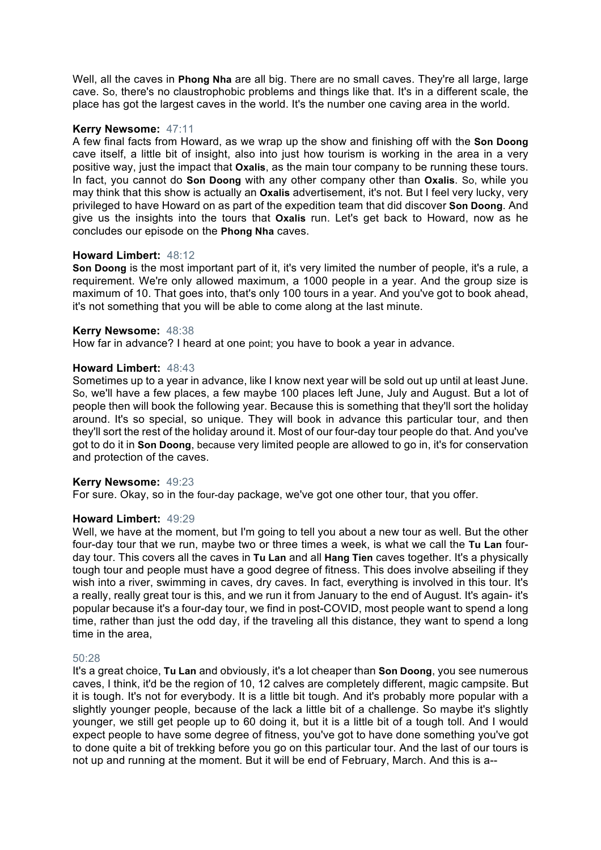Well, all the caves in **Phong Nha** are all big. There are no small caves. They're all large, large cave. So, there's no claustrophobic problems and things like that. It's in a different scale, the place has got the largest caves in the world. It's the number one caving area in the world.

# **Kerry Newsome:** 47:11

A few final facts from Howard, as we wrap up the show and finishing off with the **Son Doong** cave itself, a little bit of insight, also into just how tourism is working in the area in a very positive way, just the impact that **Oxalis**, as the main tour company to be running these tours. In fact, you cannot do **Son Doong** with any other company other than **Oxalis**. So, while you may think that this show is actually an **Oxalis** advertisement, it's not. But I feel very lucky, very privileged to have Howard on as part of the expedition team that did discover **Son Doong**. And give us the insights into the tours that **Oxalis** run. Let's get back to Howard, now as he concludes our episode on the **Phong Nha** caves.

#### **Howard Limbert:** 48:12

**Son Doong** is the most important part of it, it's very limited the number of people, it's a rule, a requirement. We're only allowed maximum, a 1000 people in a year. And the group size is maximum of 10. That goes into, that's only 100 tours in a year. And you've got to book ahead, it's not something that you will be able to come along at the last minute.

#### **Kerry Newsome:** 48:38

How far in advance? I heard at one point; you have to book a year in advance.

#### **Howard Limbert:** 48:43

Sometimes up to a year in advance, like I know next year will be sold out up until at least June. So, we'll have a few places, a few maybe 100 places left June, July and August. But a lot of people then will book the following year. Because this is something that they'll sort the holiday around. It's so special, so unique. They will book in advance this particular tour, and then they'll sort the rest of the holiday around it. Most of our four-day tour people do that. And you've got to do it in **Son Doong**, because very limited people are allowed to go in, it's for conservation and protection of the caves.

# **Kerry Newsome:** 49:23

For sure. Okay, so in the four-day package, we've got one other tour, that you offer.

#### **Howard Limbert:** 49:29

Well, we have at the moment, but I'm going to tell you about a new tour as well. But the other four-day tour that we run, maybe two or three times a week, is what we call the **Tu Lan** fourday tour. This covers all the caves in **Tu Lan** and all **Hang Tien** caves together. It's a physically tough tour and people must have a good degree of fitness. This does involve abseiling if they wish into a river, swimming in caves, dry caves. In fact, everything is involved in this tour. It's a really, really great tour is this, and we run it from January to the end of August. It's again- it's popular because it's a four-day tour, we find in post-COVID, most people want to spend a long time, rather than just the odd day, if the traveling all this distance, they want to spend a long time in the area,

#### 50:28

It's a great choice, **Tu Lan** and obviously, it's a lot cheaper than **Son Doong**, you see numerous caves, I think, it'd be the region of 10, 12 calves are completely different, magic campsite. But it is tough. It's not for everybody. It is a little bit tough. And it's probably more popular with a slightly younger people, because of the lack a little bit of a challenge. So maybe it's slightly younger, we still get people up to 60 doing it, but it is a little bit of a tough toll. And I would expect people to have some degree of fitness, you've got to have done something you've got to done quite a bit of trekking before you go on this particular tour. And the last of our tours is not up and running at the moment. But it will be end of February, March. And this is a--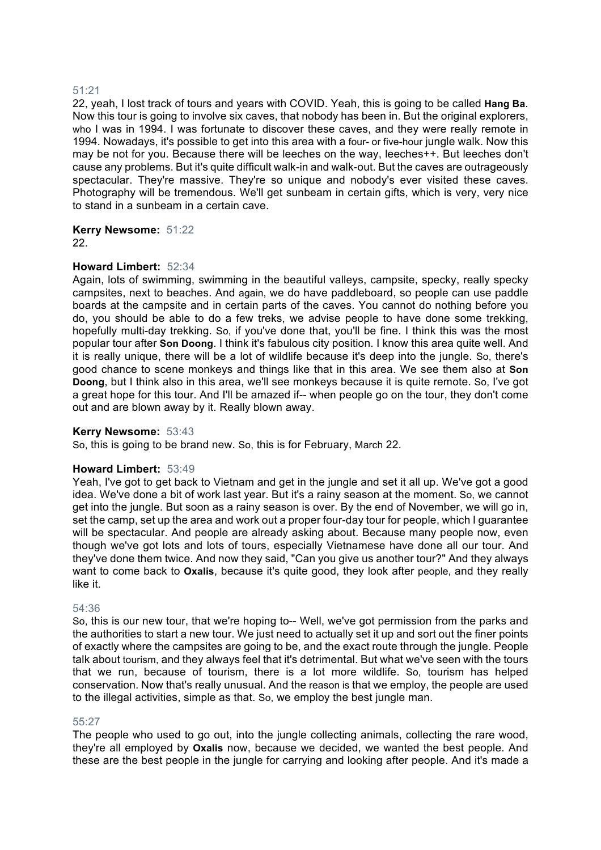# 51:21

22, yeah, I lost track of tours and years with COVID. Yeah, this is going to be called **Hang Ba**. Now this tour is going to involve six caves, that nobody has been in. But the original explorers, who I was in 1994. I was fortunate to discover these caves, and they were really remote in 1994. Nowadays, it's possible to get into this area with a four- or five-hour jungle walk. Now this may be not for you. Because there will be leeches on the way, leeches++. But leeches don't cause any problems. But it's quite difficult walk-in and walk-out. But the caves are outrageously spectacular. They're massive. They're so unique and nobody's ever visited these caves. Photography will be tremendous. We'll get sunbeam in certain gifts, which is very, very nice to stand in a sunbeam in a certain cave.

**Kerry Newsome:** 51:22 22.

#### **Howard Limbert:** 52:34

Again, lots of swimming, swimming in the beautiful valleys, campsite, specky, really specky campsites, next to beaches. And again, we do have paddleboard, so people can use paddle boards at the campsite and in certain parts of the caves. You cannot do nothing before you do, you should be able to do a few treks, we advise people to have done some trekking, hopefully multi-day trekking. So, if you've done that, you'll be fine. I think this was the most popular tour after **Son Doong**. I think it's fabulous city position. I know this area quite well. And it is really unique, there will be a lot of wildlife because it's deep into the jungle. So, there's good chance to scene monkeys and things like that in this area. We see them also at **Son Doong**, but I think also in this area, we'll see monkeys because it is quite remote. So, I've got a great hope for this tour. And I'll be amazed if-- when people go on the tour, they don't come out and are blown away by it. Really blown away.

#### **Kerry Newsome:** 53:43

So, this is going to be brand new. So, this is for February, March 22.

#### **Howard Limbert:** 53:49

Yeah, I've got to get back to Vietnam and get in the jungle and set it all up. We've got a good idea. We've done a bit of work last year. But it's a rainy season at the moment. So, we cannot get into the jungle. But soon as a rainy season is over. By the end of November, we will go in, set the camp, set up the area and work out a proper four-day tour for people, which I guarantee will be spectacular. And people are already asking about. Because many people now, even though we've got lots and lots of tours, especially Vietnamese have done all our tour. And they've done them twice. And now they said, "Can you give us another tour?" And they always want to come back to **Oxalis**, because it's quite good, they look after people, and they really like it.

#### 54:36

So, this is our new tour, that we're hoping to-- Well, we've got permission from the parks and the authorities to start a new tour. We just need to actually set it up and sort out the finer points of exactly where the campsites are going to be, and the exact route through the jungle. People talk about tourism, and they always feel that it's detrimental. But what we've seen with the tours that we run, because of tourism, there is a lot more wildlife. So, tourism has helped conservation. Now that's really unusual. And the reason is that we employ, the people are used to the illegal activities, simple as that. So, we employ the best jungle man.

#### 55:27

The people who used to go out, into the jungle collecting animals, collecting the rare wood, they're all employed by **Oxalis** now, because we decided, we wanted the best people. And these are the best people in the jungle for carrying and looking after people. And it's made a